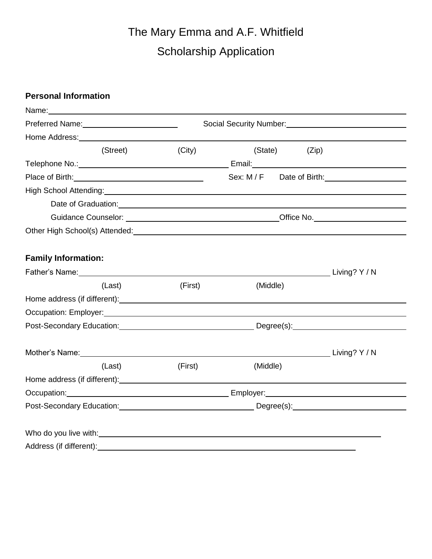# The Mary Emma and A.F. Whitfield Scholarship Application

## **Personal Information**

| Name: Name and the second state of the second state of the second state of the second state of the second state of the second state of the second state of the second state of the second state of the second state of the sec       |                                                           |                                                                                                                                                                                                                                    |       |
|--------------------------------------------------------------------------------------------------------------------------------------------------------------------------------------------------------------------------------------|-----------------------------------------------------------|------------------------------------------------------------------------------------------------------------------------------------------------------------------------------------------------------------------------------------|-------|
|                                                                                                                                                                                                                                      | Social Security Number:<br><u>Social Security Number:</u> |                                                                                                                                                                                                                                    |       |
|                                                                                                                                                                                                                                      |                                                           |                                                                                                                                                                                                                                    |       |
| (Street)                                                                                                                                                                                                                             | (City)                                                    | (State)                                                                                                                                                                                                                            | (Zip) |
|                                                                                                                                                                                                                                      |                                                           |                                                                                                                                                                                                                                    |       |
|                                                                                                                                                                                                                                      |                                                           | Sex: M / F Date of Birth: Canada Sex: M / F Date of Birth:                                                                                                                                                                         |       |
|                                                                                                                                                                                                                                      |                                                           |                                                                                                                                                                                                                                    |       |
|                                                                                                                                                                                                                                      |                                                           |                                                                                                                                                                                                                                    |       |
|                                                                                                                                                                                                                                      |                                                           | Guidance Counselor: <u>New York: Contract of Counselor:</u> Contract of Contract of Counselor: Counselor: Counselor: Counselor: Counselor: Counselor: Counselor: Counselor: Counselor: Counselor: Counselor: Counselor: Counselor: |       |
| Other High School(s) Attended:<br><u>Designed and announcements</u> and all the manufacturer of the manufacturer of the manufacturer of the manufacturer                                                                             |                                                           |                                                                                                                                                                                                                                    |       |
|                                                                                                                                                                                                                                      |                                                           |                                                                                                                                                                                                                                    |       |
| <b>Family Information:</b>                                                                                                                                                                                                           |                                                           |                                                                                                                                                                                                                                    |       |
|                                                                                                                                                                                                                                      |                                                           |                                                                                                                                                                                                                                    |       |
| (Last)                                                                                                                                                                                                                               | (First)                                                   | (Middle)                                                                                                                                                                                                                           |       |
|                                                                                                                                                                                                                                      |                                                           |                                                                                                                                                                                                                                    |       |
|                                                                                                                                                                                                                                      |                                                           |                                                                                                                                                                                                                                    |       |
|                                                                                                                                                                                                                                      |                                                           | Post-Secondary Education: National Contract Degree(s): National Degree(s):                                                                                                                                                         |       |
|                                                                                                                                                                                                                                      |                                                           |                                                                                                                                                                                                                                    |       |
| Mother's Name: Manual Annual Annual Annual Annual Annual Annual Annual Annual Annual Annual Annual Annual Annu                                                                                                                       |                                                           |                                                                                                                                                                                                                                    |       |
| (Last)                                                                                                                                                                                                                               | (First)                                                   | (Middle)                                                                                                                                                                                                                           |       |
|                                                                                                                                                                                                                                      |                                                           |                                                                                                                                                                                                                                    |       |
| Occupation: <u>contract and contract and contract and contract and contract and contract and contract and contract and contract and contract and contract and contract and contract and contract and contract and contract and c</u> |                                                           |                                                                                                                                                                                                                                    |       |
| Post-Secondary Education: Notified the Degree (s): Notified the Degree (s):                                                                                                                                                          |                                                           |                                                                                                                                                                                                                                    |       |
|                                                                                                                                                                                                                                      |                                                           |                                                                                                                                                                                                                                    |       |
| Who do you live with: Who do you live with:                                                                                                                                                                                          |                                                           |                                                                                                                                                                                                                                    |       |
| Address (if different):                                                                                                                                                                                                              |                                                           |                                                                                                                                                                                                                                    |       |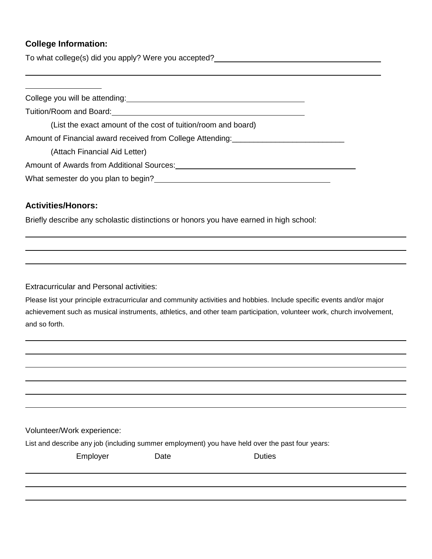### **College Information:**

To what college(s) did you apply? Were you accepted?

College you will be attending:

Tuition/Room and Board:

(List the exact amount of the cost of tuition/room and board)

Amount of Financial award received from College Attending:\_\_\_\_\_\_\_\_\_\_\_\_\_\_\_\_\_\_\_\_\_\_\_\_\_\_

(Attach Financial Aid Letter)

Amount of Awards from Additional Sources:

What semester do you plan to begin?<br>
<u>
What semester do you plan to begin?</u>

#### **Activities/Honors:**

Briefly describe any scholastic distinctions or honors you have earned in high school:

Extracurricular and Personal activities:

Please list your principle extracurricular and community activities and hobbies. Include specific events and/or major achievement such as musical instruments, athletics, and other team participation, volunteer work, church involvement, and so forth.

Volunteer/Work experience:

List and describe any job (including summer employment) you have held over the past four years:

| Employer | Date | Duties |
|----------|------|--------|
|          |      |        |